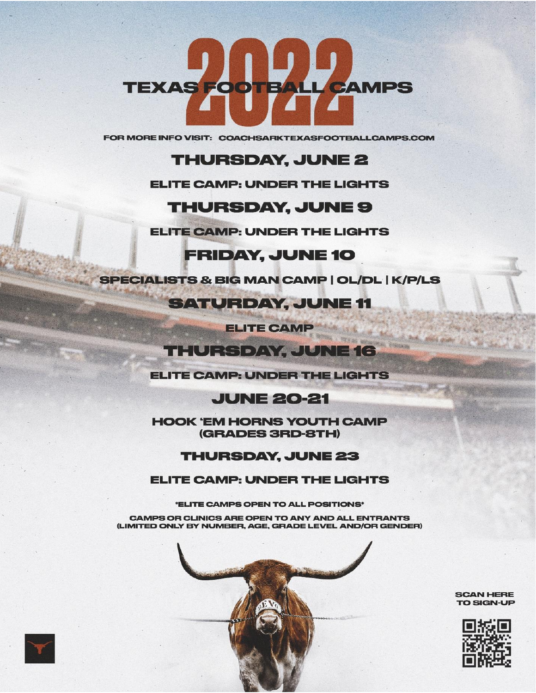

FOR MORE INFO VISIT: COACHSARKTEXASFOOTBALLCAMPS.COM

# **THURSDAY, JUNE 2**

### **ELITE CAMP: UNDER THE LIGHTS**

# **THURSDAY, JUNE 9**

**ELITE CAMP: UNDER THE LIGHTS** 

# **FRIDAY, JUNE 10**

**SPECIALISTS & BIG MAN CAMP | OL/DL | K/P/LS** 

**SATURDAY, JUNE 11** 

**ELITE CAMP** 

# **THURSDAY, JUNE 16**

**BEST ARE INCOME.** 

**ELITE CAMP: UNDER THE LIGHTS** 

# **JUNE 20-21**

**HOOK 'EM HORNS YOUTH CAMP** (GRADES 3RD-8TH)

## **THURSDAY, JUNE 23**

### **ELITE CAMP: UNDER THE LIGHTS**

\*ELITE CAMPS OPEN TO ALL POSITIONS\*

CAMPS OR CLINICS ARE OPEN TO ANY AND ALL ENTRANTS (LIMITED ONLY BY NUMBER, AGE, GRADE LEVEL AND/OR GENDER)



**SCAN HERE** TO SIGN-UP



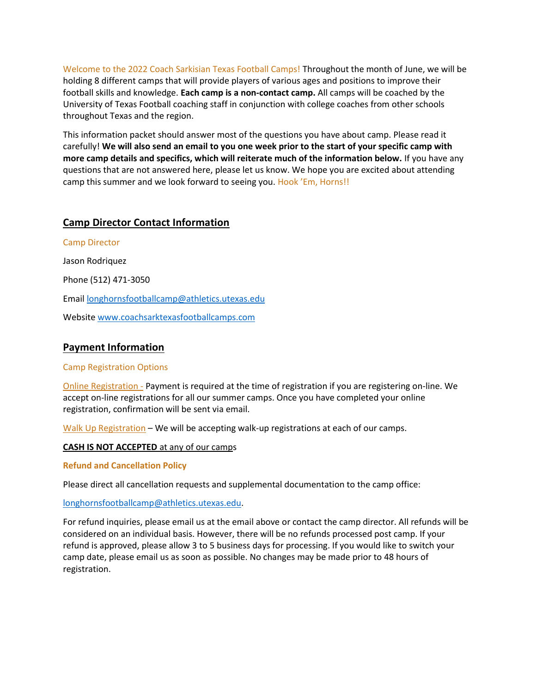Welcome to the 2022 Coach Sarkisian Texas Football Camps! Throughout the month of June, we will be holding 8 different camps that will provide players of various ages and positions to improve their football skills and knowledge. **Each camp is a non-contact camp.** All camps will be coached by the University of Texas Football coaching staff in conjunction with college coaches from other schools throughout Texas and the region.

This information packet should answer most of the questions you have about camp. Please read it carefully! **We will also send an email to you one week prior to the start of your specific camp with more camp details and specifics, which will reiterate much of the information below.** If you have any questions that are not answered here, please let us know. We hope you are excited about attending camp this summer and we look forward to seeing you. Hook 'Em, Horns!!

#### **Camp Director Contact Information**

Camp Director Jason Rodriquez Phone (512) 471-3050 Email [longhornsfootballcamp@athletics.utexas.edu](mailto:longhornsfootballcamp@athletics.utexas.edu) Websit[e www.coachsarktexasfootballcamps.com](http://www.coachsarktexasfootballcamps.com/)

#### **Payment Information**

#### Camp Registration Options

Online Registration - Payment is required at the time of registration if you are registering on-line. We accept on-line registrations for all our summer camps. Once you have completed your online registration, confirmation will be sent via email.

Walk Up Registration – We will be accepting walk-up registrations at each of our camps.

**CASH IS NOT ACCEPTED** at any of our camps

**Refund and Cancellation Policy**

Please direct all cancellation requests and supplemental documentation to the camp office:

[longhornsfootballcamp@athletics.utexas.edu.](mailto:longhornsfootballcamp@athletics.utexas.edu)

For refund inquiries, please email us at the email above or contact the camp director. All refunds will be considered on an individual basis. However, there will be no refunds processed post camp. If your refund is approved, please allow 3 to 5 business days for processing. If you would like to switch your camp date, please email us as soon as possible. No changes may be made prior to 48 hours of registration.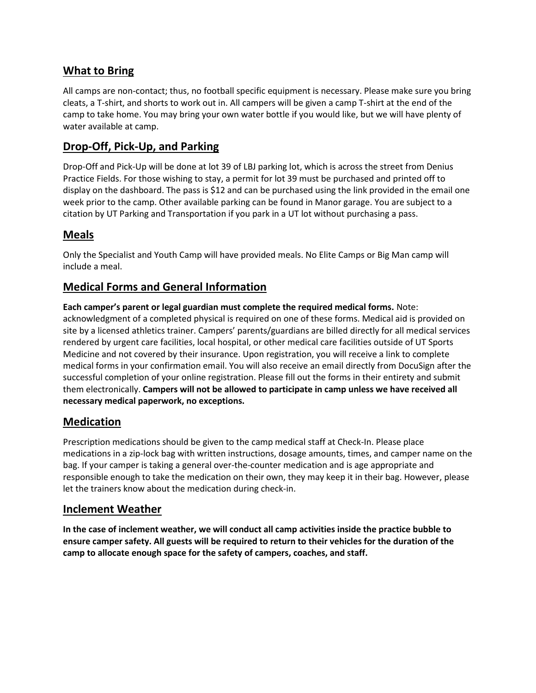## **What to Bring**

All camps are non-contact; thus, no football specific equipment is necessary. Please make sure you bring cleats, a T-shirt, and shorts to work out in. All campers will be given a camp T-shirt at the end of the camp to take home. You may bring your own water bottle if you would like, but we will have plenty of water available at camp.

## **Drop-Off, Pick-Up, and Parking**

Drop-Off and Pick-Up will be done at lot 39 of LBJ parking lot, which is across the street from Denius Practice Fields. For those wishing to stay, a permit for lot 39 must be purchased and printed off to display on the dashboard. The pass is \$12 and can be purchased using the link provided in the email one week prior to the camp. Other available parking can be found in Manor garage. You are subject to a citation by UT Parking and Transportation if you park in a UT lot without purchasing a pass.

## **Meals**

Only the Specialist and Youth Camp will have provided meals. No Elite Camps or Big Man camp will include a meal.

### **Medical Forms and General Information**

**Each camper's parent or legal guardian must complete the required medical forms.** Note: acknowledgment of a completed physical is required on one of these forms. Medical aid is provided on site by a licensed athletics trainer. Campers' parents/guardians are billed directly for all medical services rendered by urgent care facilities, local hospital, or other medical care facilities outside of UT Sports Medicine and not covered by their insurance. Upon registration, you will receive a link to complete medical forms in your confirmation email. You will also receive an email directly from DocuSign after the successful completion of your online registration. Please fill out the forms in their entirety and submit them electronically. **Campers will not be allowed to participate in camp unless we have received all necessary medical paperwork, no exceptions.**

### **Medication**

Prescription medications should be given to the camp medical staff at Check-In. Please place medications in a zip‐lock bag with written instructions, dosage amounts, times, and camper name on the bag. If your camper is taking a general over-the-counter medication and is age appropriate and responsible enough to take the medication on their own, they may keep it in their bag. However, please let the trainers know about the medication during check‐in.

## **Inclement Weather**

**In the case of inclement weather, we will conduct all camp activities inside the practice bubble to ensure camper safety. All guests will be required to return to their vehicles for the duration of the camp to allocate enough space for the safety of campers, coaches, and staff.**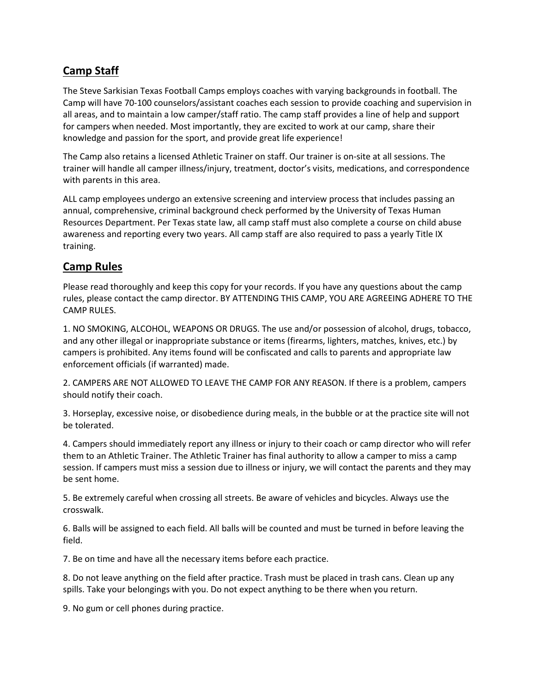## **Camp Staff**

The Steve Sarkisian Texas Football Camps employs coaches with varying backgrounds in football. The Camp will have 70-100 counselors/assistant coaches each session to provide coaching and supervision in all areas, and to maintain a low camper/staff ratio. The camp staff provides a line of help and support for campers when needed. Most importantly, they are excited to work at our camp, share their knowledge and passion for the sport, and provide great life experience!

The Camp also retains a licensed Athletic Trainer on staff. Our trainer is on-site at all sessions. The trainer will handle all camper illness/injury, treatment, doctor's visits, medications, and correspondence with parents in this area.

ALL camp employees undergo an extensive screening and interview process that includes passing an annual, comprehensive, criminal background check performed by the University of Texas Human Resources Department. Per Texas state law, all camp staff must also complete a course on child abuse awareness and reporting every two years. All camp staff are also required to pass a yearly Title IX training.

### **Camp Rules**

Please read thoroughly and keep this copy for your records. If you have any questions about the camp rules, please contact the camp director. BY ATTENDING THIS CAMP, YOU ARE AGREEING ADHERE TO THE CAMP RULES.

1. NO SMOKING, ALCOHOL, WEAPONS OR DRUGS. The use and/or possession of alcohol, drugs, tobacco, and any other illegal or inappropriate substance or items (firearms, lighters, matches, knives, etc.) by campers is prohibited. Any items found will be confiscated and calls to parents and appropriate law enforcement officials (if warranted) made.

2. CAMPERS ARE NOT ALLOWED TO LEAVE THE CAMP FOR ANY REASON. If there is a problem, campers should notify their coach.

3. Horseplay, excessive noise, or disobedience during meals, in the bubble or at the practice site will not be tolerated.

4. Campers should immediately report any illness or injury to their coach or camp director who will refer them to an Athletic Trainer. The Athletic Trainer has final authority to allow a camper to miss a camp session. If campers must miss a session due to illness or injury, we will contact the parents and they may be sent home.

5. Be extremely careful when crossing all streets. Be aware of vehicles and bicycles. Always use the crosswalk.

6. Balls will be assigned to each field. All balls will be counted and must be turned in before leaving the field.

7. Be on time and have all the necessary items before each practice.

8. Do not leave anything on the field after practice. Trash must be placed in trash cans. Clean up any spills. Take your belongings with you. Do not expect anything to be there when you return.

9. No gum or cell phones during practice.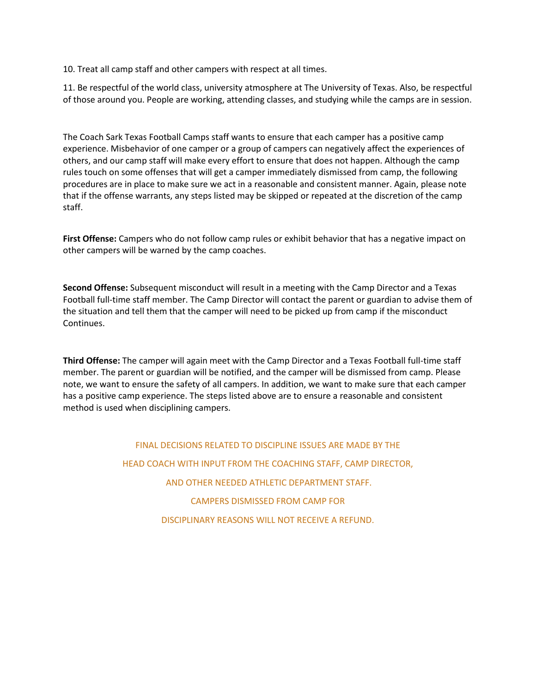10. Treat all camp staff and other campers with respect at all times.

11. Be respectful of the world class, university atmosphere at The University of Texas. Also, be respectful of those around you. People are working, attending classes, and studying while the camps are in session.

The Coach Sark Texas Football Camps staff wants to ensure that each camper has a positive camp experience. Misbehavior of one camper or a group of campers can negatively affect the experiences of others, and our camp staff will make every effort to ensure that does not happen. Although the camp rules touch on some offenses that will get a camper immediately dismissed from camp, the following procedures are in place to make sure we act in a reasonable and consistent manner. Again, please note that if the offense warrants, any steps listed may be skipped or repeated at the discretion of the camp staff.

**First Offense:** Campers who do not follow camp rules or exhibit behavior that has a negative impact on other campers will be warned by the camp coaches.

**Second Offense:** Subsequent misconduct will result in a meeting with the Camp Director and a Texas Football full-time staff member. The Camp Director will contact the parent or guardian to advise them of the situation and tell them that the camper will need to be picked up from camp if the misconduct Continues.

**Third Offense:** The camper will again meet with the Camp Director and a Texas Football full-time staff member. The parent or guardian will be notified, and the camper will be dismissed from camp. Please note, we want to ensure the safety of all campers. In addition, we want to make sure that each camper has a positive camp experience. The steps listed above are to ensure a reasonable and consistent method is used when disciplining campers.

> FINAL DECISIONS RELATED TO DISCIPLINE ISSUES ARE MADE BY THE HEAD COACH WITH INPUT FROM THE COACHING STAFF, CAMP DIRECTOR, AND OTHER NEEDED ATHLETIC DEPARTMENT STAFF. CAMPERS DISMISSED FROM CAMP FOR DISCIPLINARY REASONS WILL NOT RECEIVE A REFUND.